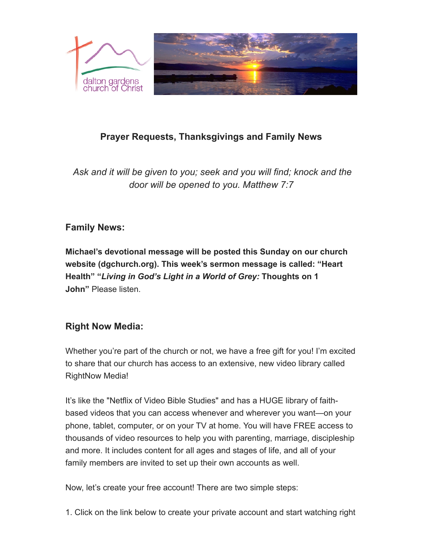

# **Prayer Requests, Thanksgivings and Family News**

*Ask and it will be given to you; seek and you will find; knock and the door will be opened to you. Matthew 7:7*

# **Family News:**

**Michael's devotional message will be posted this Sunday on our church website (dgchurch.org). This week's sermon message is called: "Heart Health" "***Living in God's Light in a World of Grey:* **Thoughts on 1 John"** Please listen.

# **Right Now Media:**

Whether you're part of the church or not, we have a free gift for you! I'm excited to share that our church has access to an extensive, new video library called RightNow Media!

It's like the "Netflix of Video Bible Studies" and has a HUGE library of faithbased videos that you can access whenever and wherever you want—on your phone, tablet, computer, or on your TV at home. You will have FREE access to thousands of video resources to help you with parenting, marriage, discipleship and more. It includes content for all ages and stages of life, and all of your family members are invited to set up their own accounts as well.

Now, let's create your free account! There are two simple steps:

1. Click on the link below to create your private account and start watching right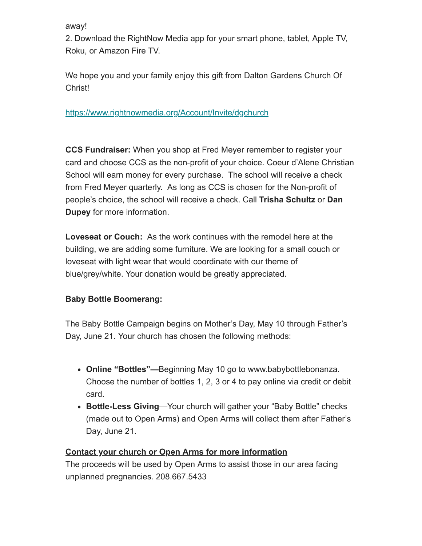away!

2. Download the RightNow Media app for your smart phone, tablet, Apple TV, Roku, or Amazon Fire TV.

We hope you and your family enjoy this gift from Dalton Gardens Church Of Christ!

[https://www.rightnowmedia.org/Account/Invite/dgchurch](https://dgchurch.us14.list-manage.com/track/click?u=3ece0277ecd7d60318536d672&id=256e63de26&e=db65237c92)

**CCS Fundraiser:** When you shop at Fred Meyer remember to register your card and choose CCS as the non-profit of your choice. Coeur d'Alene Christian School will earn money for every purchase. The school will receive a check from Fred Meyer quarterly. As long as CCS is chosen for the Non-profit of people's choice, the school will receive a check. Call **Trisha Schultz** or **Dan Dupey** for more information.

**Loveseat or Couch:** As the work continues with the remodel here at the building, we are adding some furniture. We are looking for a small couch or loveseat with light wear that would coordinate with our theme of blue/grey/white. Your donation would be greatly appreciated.

#### **Baby Bottle Boomerang:**

The Baby Bottle Campaign begins on Mother's Day, May 10 through Father's Day, June 21. Your church has chosen the following methods:

- **Online "Bottles"—**Beginning May 10 go to www.babybottlebonanza. Choose the number of bottles 1, 2, 3 or 4 to pay online via credit or debit card.
- **Bottle-Less Giving**—Your church will gather your "Baby Bottle" checks (made out to Open Arms) and Open Arms will collect them after Father's Day, June 21.

#### **Contact your church or Open Arms for more information**

The proceeds will be used by Open Arms to assist those in our area facing unplanned pregnancies. 208.667.5433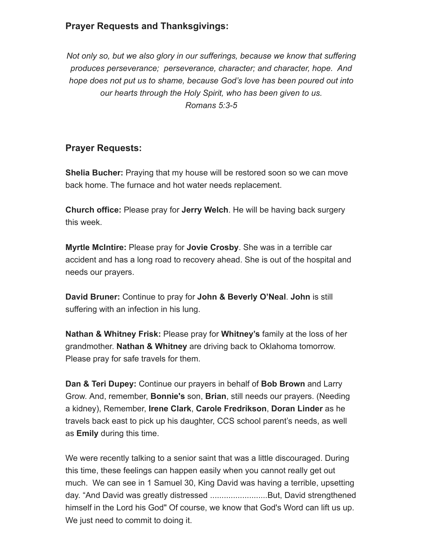## **Prayer Requests and Thanksgivings:**

*Not only so, but we also glory in our sufferings, because we know that suffering produces perseverance; perseverance, character; and character, hope. And hope does not put us to shame, because God's love has been poured out into our hearts through the Holy Spirit, who has been given to us. Romans 5:3-5*

### **Prayer Requests:**

**Shelia Bucher:** Praying that my house will be restored soon so we can move back home. The furnace and hot water needs replacement.

**Church office:** Please pray for **Jerry Welch**. He will be having back surgery this week.

**Myrtle McIntire:** Please pray for **Jovie Crosby**. She was in a terrible car accident and has a long road to recovery ahead. She is out of the hospital and needs our prayers.

**David Bruner:** Continue to pray for **John & Beverly O'Neal**. **John** is still suffering with an infection in his lung.

**Nathan & Whitney Frisk:** Please pray for **Whitney's** family at the loss of her grandmother. **Nathan & Whitney** are driving back to Oklahoma tomorrow. Please pray for safe travels for them.

**Dan & Teri Dupey:** Continue our prayers in behalf of **Bob Brown** and Larry Grow. And, remember, **Bonnie's** son, **Brian**, still needs our prayers. (Needing a kidney), Remember, **Irene Clark**, **Carole Fredrikson**, **Doran Linder** as he travels back east to pick up his daughter, CCS school parent's needs, as well as **Emily** during this time.

We were recently talking to a senior saint that was a little discouraged. During this time, these feelings can happen easily when you cannot really get out much. We can see in 1 Samuel 30, King David was having a terrible, upsetting day. "And David was greatly distressed .........................But, David strengthened himself in the Lord his God" Of course, we know that God's Word can lift us up. We just need to commit to doing it.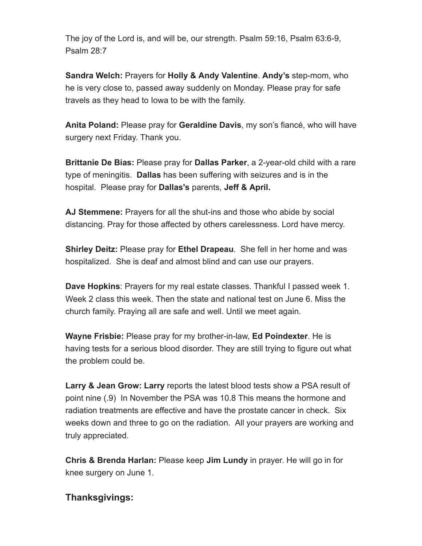The joy of the Lord is, and will be, our strength. Psalm 59:16, Psalm 63:6-9, Psalm 28:7

**Sandra Welch:** Prayers for **Holly & Andy Valentine**. **Andy's** step-mom, who he is very close to, passed away suddenly on Monday. Please pray for safe travels as they head to Iowa to be with the family.

**Anita Poland:** Please pray for **Geraldine Davis**, my son's fiancé, who will have surgery next Friday. Thank you.

**Brittanie De Bias:** Please pray for **Dallas Parker**, a 2-year-old child with a rare type of meningitis. **Dallas** has been suffering with seizures and is in the hospital. Please pray for **Dallas's** parents, **Jeff & April.**

**AJ Stemmene:** Prayers for all the shut-ins and those who abide by social distancing. Pray for those affected by others carelessness. Lord have mercy.

**Shirley Deitz:** Please pray for **Ethel Drapeau**. She fell in her home and was hospitalized. She is deaf and almost blind and can use our prayers.

**Dave Hopkins**: Prayers for my real estate classes. Thankful I passed week 1. Week 2 class this week. Then the state and national test on June 6. Miss the church family. Praying all are safe and well. Until we meet again.

**Wayne Frisbie:** Please pray for my brother-in-law, **Ed Poindexter**. He is having tests for a serious blood disorder. They are still trying to figure out what the problem could be.

**Larry & Jean Grow: Larry** reports the latest blood tests show a PSA result of point nine (.9) In November the PSA was 10.8 This means the hormone and radiation treatments are effective and have the prostate cancer in check. Six weeks down and three to go on the radiation. All your prayers are working and truly appreciated.

**Chris & Brenda Harlan:** Please keep **Jim Lundy** in prayer. He will go in for knee surgery on June 1.

## **Thanksgivings:**